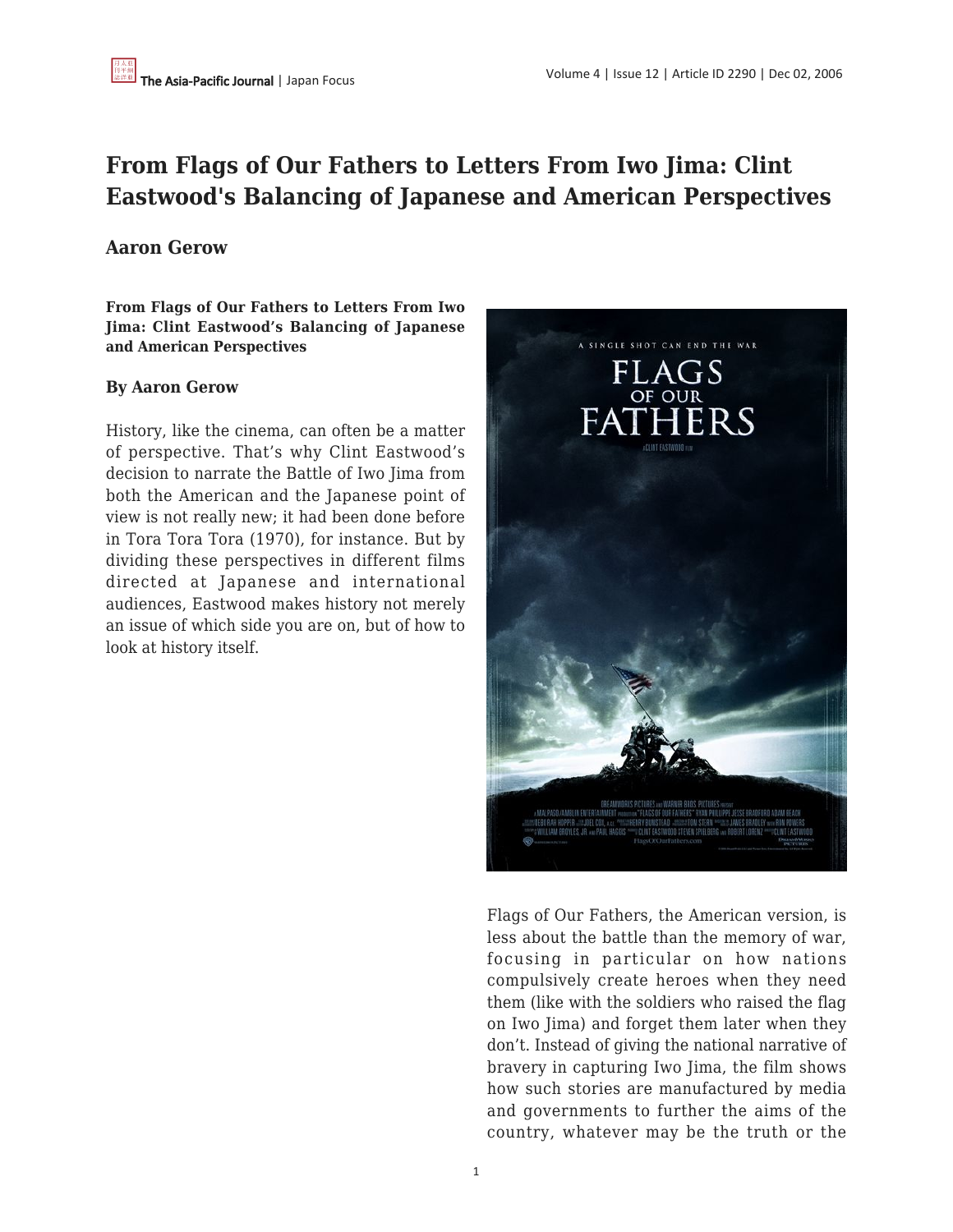## **From Flags of Our Fathers to Letters From Iwo Jima: Clint Eastwood's Balancing of Japanese and American Perspectives**

## **Aaron Gerow**

**From Flags of Our Fathers to Letters From Iwo Jima: Clint Eastwood's Balancing of Japanese and American Perspectives**

## **By Aaron Gerow**

History, like the cinema, can often be a matter of perspective. That's why Clint Eastwood's decision to narrate the Battle of Iwo Jima from both the American and the Japanese point of view is not really new; it had been done before in Tora Tora Tora (1970), for instance. But by dividing these perspectives in different films directed at Japanese and international audiences, Eastwood makes history not merely an issue of which side you are on, but of how to look at history itself.



Flags of Our Fathers, the American version, is less about the battle than the memory of war, focusing in particular on how nations compulsively create heroes when they need them (like with the soldiers who raised the flag on Iwo Jima) and forget them later when they don't. Instead of giving the national narrative of bravery in capturing Iwo Jima, the film shows how such stories are manufactured by media and governments to further the aims of the country, whatever may be the truth or the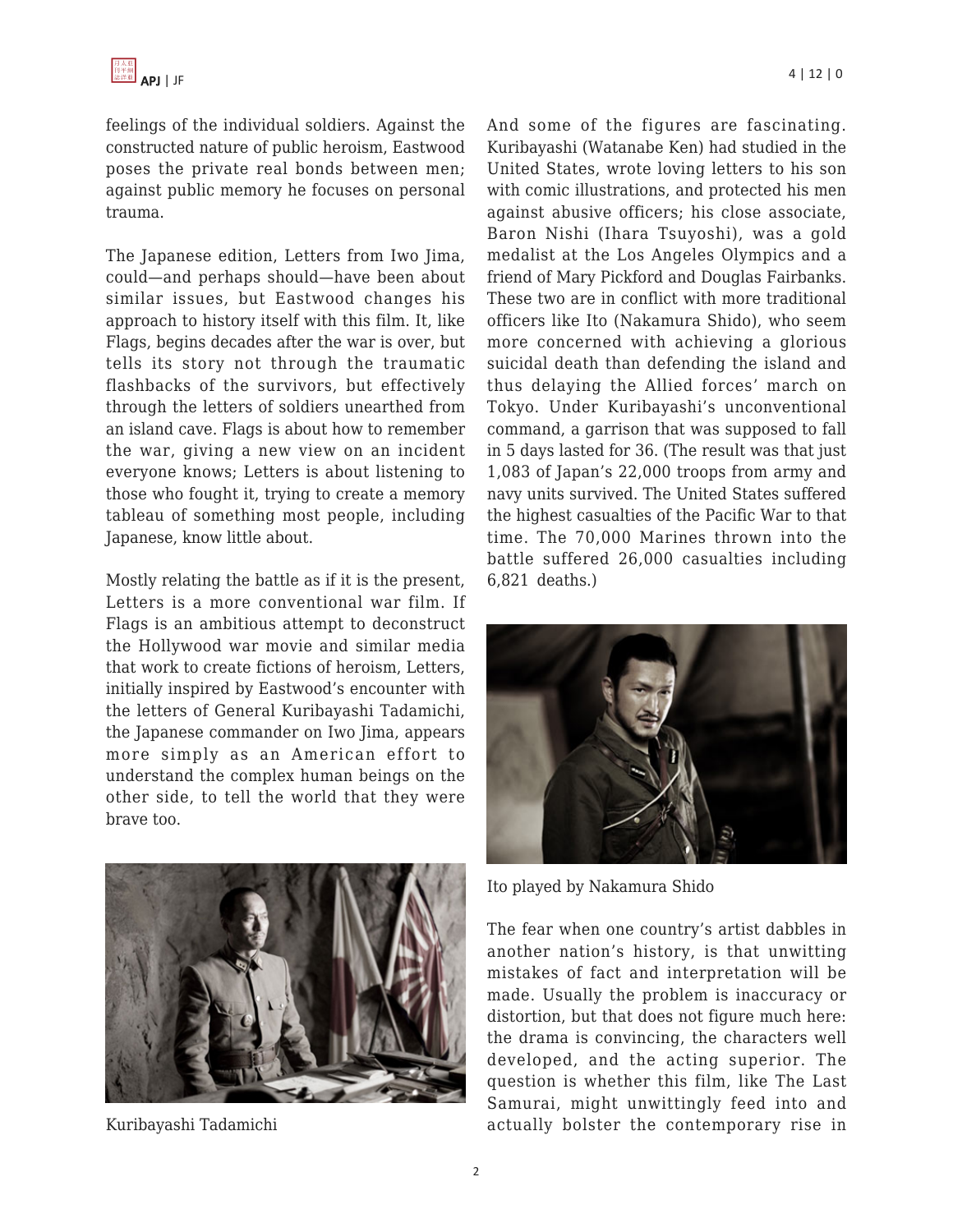feelings of the individual soldiers. Against the constructed nature of public heroism, Eastwood poses the private real bonds between men; against public memory he focuses on personal trauma.

The Japanese edition, Letters from Iwo Jima, could—and perhaps should—have been about similar issues, but Eastwood changes his approach to history itself with this film. It, like Flags, begins decades after the war is over, but tells its story not through the traumatic flashbacks of the survivors, but effectively through the letters of soldiers unearthed from an island cave. Flags is about how to remember the war, giving a new view on an incident everyone knows; Letters is about listening to those who fought it, trying to create a memory tableau of something most people, including Japanese, know little about.

Mostly relating the battle as if it is the present, Letters is a more conventional war film. If Flags is an ambitious attempt to deconstruct the Hollywood war movie and similar media that work to create fictions of heroism, Letters, initially inspired by Eastwood's encounter with the letters of General Kuribayashi Tadamichi, the Japanese commander on Iwo Jima, appears more simply as an American effort to understand the complex human beings on the other side, to tell the world that they were brave too.



Kuribayashi Tadamichi

And some of the figures are fascinating. Kuribayashi (Watanabe Ken) had studied in the United States, wrote loving letters to his son with comic illustrations, and protected his men against abusive officers; his close associate, Baron Nishi (Ihara Tsuyoshi), was a gold medalist at the Los Angeles Olympics and a friend of Mary Pickford and Douglas Fairbanks. These two are in conflict with more traditional officers like Ito (Nakamura Shido), who seem more concerned with achieving a glorious suicidal death than defending the island and thus delaying the Allied forces' march on Tokyo. Under Kuribayashi's unconventional command, a garrison that was supposed to fall in 5 days lasted for 36. (The result was that just 1,083 of Japan's 22,000 troops from army and navy units survived. The United States suffered the highest casualties of the Pacific War to that time. The 70,000 Marines thrown into the battle suffered 26,000 casualties including 6,821 deaths.)



Ito played by Nakamura Shido

The fear when one country's artist dabbles in another nation's history, is that unwitting mistakes of fact and interpretation will be made. Usually the problem is inaccuracy or distortion, but that does not figure much here: the drama is convincing, the characters well developed, and the acting superior. The question is whether this film, like The Last Samurai, might unwittingly feed into and actually bolster the contemporary rise in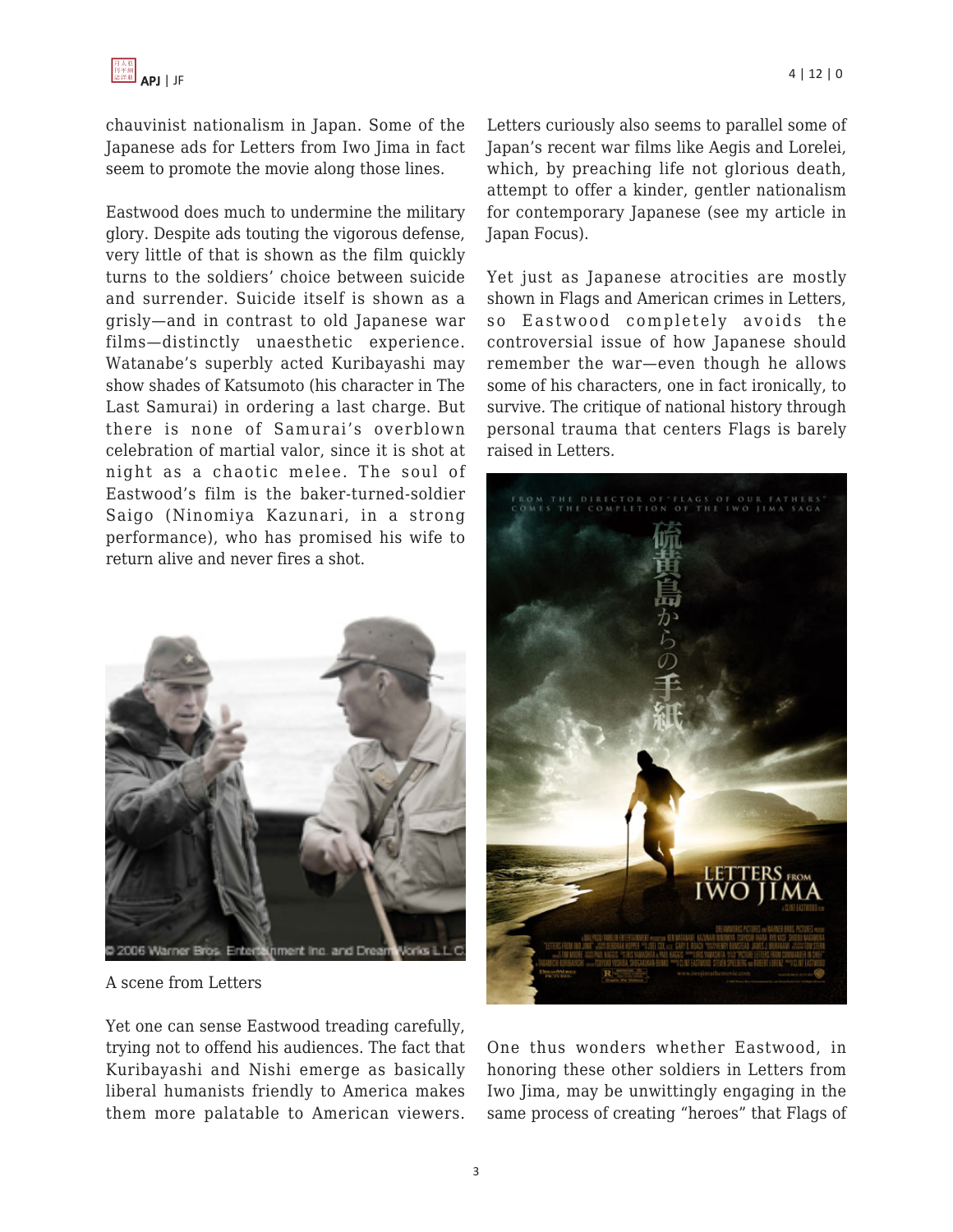chauvinist nationalism in Japan. Some of the Japanese ads for Letters from Iwo Jima in fact seem to promote the movie along those lines.

Eastwood does much to undermine the military glory. Despite ads touting the vigorous defense, very little of that is shown as the film quickly turns to the soldiers' choice between suicide and surrender. Suicide itself is shown as a grisly—and in contrast to old Japanese war films—distinctly unaesthetic experience. Watanabe's superbly acted Kuribayashi may show shades of Katsumoto (his character in The Last Samurai) in ordering a last charge. But there is none of Samurai's overblown celebration of martial valor, since it is shot at night as a chaotic melee. The soul of Eastwood's film is the baker-turned-soldier Saigo (Ninomiya Kazunari, in a strong performance), who has promised his wife to return alive and never fires a shot.



A scene from Letters

Yet one can sense Eastwood treading carefully, trying not to offend his audiences. The fact that Kuribayashi and Nishi emerge as basically liberal humanists friendly to America makes them more palatable to American viewers.

Letters curiously also seems to parallel some of Japan's recent war films like Aegis and Lorelei, which, by preaching life not glorious death, attempt to offer a kinder, gentler nationalism for contemporary Japanese (see my article in Japan Focus).

Yet just as Japanese atrocities are mostly shown in Flags and American crimes in Letters, so Eastwood completely avoids the controversial issue of how Japanese should remember the war—even though he allows some of his characters, one in fact ironically, to survive. The critique of national history through personal trauma that centers Flags is barely raised in Letters.



One thus wonders whether Eastwood, in honoring these other soldiers in Letters from Iwo Jima, may be unwittingly engaging in the same process of creating "heroes" that Flags of